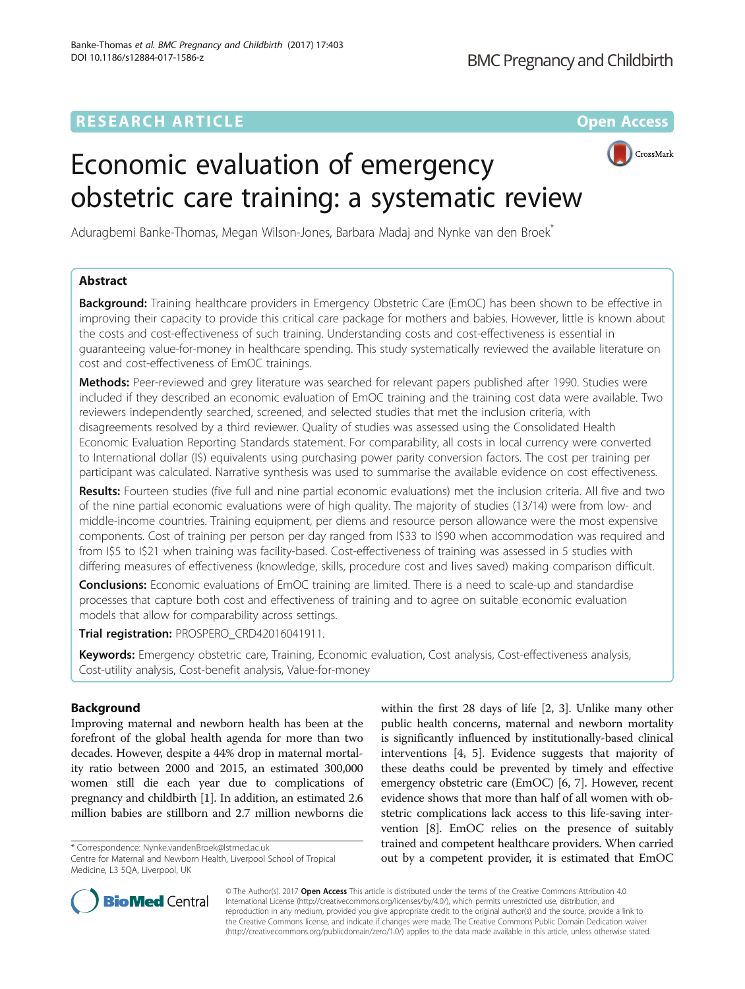# **RESEARCH ARTICLE External Structure Community Community Community Community Community Community Community Community**



# Economic evaluation of emergency obstetric care training: a systematic review

Aduragbemi Banke-Thomas, Megan Wilson-Jones, Barbara Madaj and Nynke van den Broek\*

# Abstract

**Background:** Training healthcare providers in Emergency Obstetric Care (EmOC) has been shown to be effective in improving their capacity to provide this critical care package for mothers and babies. However, little is known about the costs and cost-effectiveness of such training. Understanding costs and cost-effectiveness is essential in guaranteeing value-for-money in healthcare spending. This study systematically reviewed the available literature on cost and cost-effectiveness of EmOC trainings.

Methods: Peer-reviewed and grey literature was searched for relevant papers published after 1990. Studies were included if they described an economic evaluation of EmOC training and the training cost data were available. Two reviewers independently searched, screened, and selected studies that met the inclusion criteria, with disagreements resolved by a third reviewer. Quality of studies was assessed using the Consolidated Health Economic Evaluation Reporting Standards statement. For comparability, all costs in local currency were converted to International dollar (I\$) equivalents using purchasing power parity conversion factors. The cost per training per participant was calculated. Narrative synthesis was used to summarise the available evidence on cost effectiveness.

Results: Fourteen studies (five full and nine partial economic evaluations) met the inclusion criteria. All five and two of the nine partial economic evaluations were of high quality. The majority of studies (13/14) were from low- and middle-income countries. Training equipment, per diems and resource person allowance were the most expensive components. Cost of training per person per day ranged from I\$33 to I\$90 when accommodation was required and from I\$5 to I\$21 when training was facility-based. Cost-effectiveness of training was assessed in 5 studies with differing measures of effectiveness (knowledge, skills, procedure cost and lives saved) making comparison difficult.

**Conclusions:** Economic evaluations of EmOC training are limited. There is a need to scale-up and standardise processes that capture both cost and effectiveness of training and to agree on suitable economic evaluation models that allow for comparability across settings.

Trial registration: [PROSPERO\\_CRD42016041911.](http://www.crd.york.ac.uk/PROSPERO/display_record.php?ID=CRD42016041911)

Keywords: Emergency obstetric care, Training, Economic evaluation, Cost analysis, Cost-effectiveness analysis, Cost-utility analysis, Cost-benefit analysis, Value-for-money

# Background

Improving maternal and newborn health has been at the forefront of the global health agenda for more than two decades. However, despite a 44% drop in maternal mortality ratio between 2000 and 2015, an estimated 300,000 women still die each year due to complications of pregnancy and childbirth [\[1](#page-8-0)]. In addition, an estimated 2.6 million babies are stillborn and 2.7 million newborns die

\* Correspondence: [Nynke.vandenBroek@lstmed.ac.uk](mailto:Nynke.vandenBroek@lstmed.ac.uk)

within the first 28 days of life [\[2, 3\]](#page-8-0). Unlike many other public health concerns, maternal and newborn mortality is significantly influenced by institutionally-based clinical interventions [[4](#page-8-0), [5](#page-8-0)]. Evidence suggests that majority of these deaths could be prevented by timely and effective emergency obstetric care (EmOC) [\[6](#page-8-0), [7](#page-8-0)]. However, recent evidence shows that more than half of all women with obstetric complications lack access to this life-saving intervention [[8](#page-8-0)]. EmOC relies on the presence of suitably trained and competent healthcare providers. When carried out by a competent provider, it is estimated that EmOC



© The Author(s). 2017 **Open Access** This article is distributed under the terms of the Creative Commons Attribution 4.0 International License [\(http://creativecommons.org/licenses/by/4.0/](http://creativecommons.org/licenses/by/4.0/)), which permits unrestricted use, distribution, and reproduction in any medium, provided you give appropriate credit to the original author(s) and the source, provide a link to the Creative Commons license, and indicate if changes were made. The Creative Commons Public Domain Dedication waiver [\(http://creativecommons.org/publicdomain/zero/1.0/](http://creativecommons.org/publicdomain/zero/1.0/)) applies to the data made available in this article, unless otherwise stated.

Centre for Maternal and Newborn Health, Liverpool School of Tropical Medicine, L3 5QA, Liverpool, UK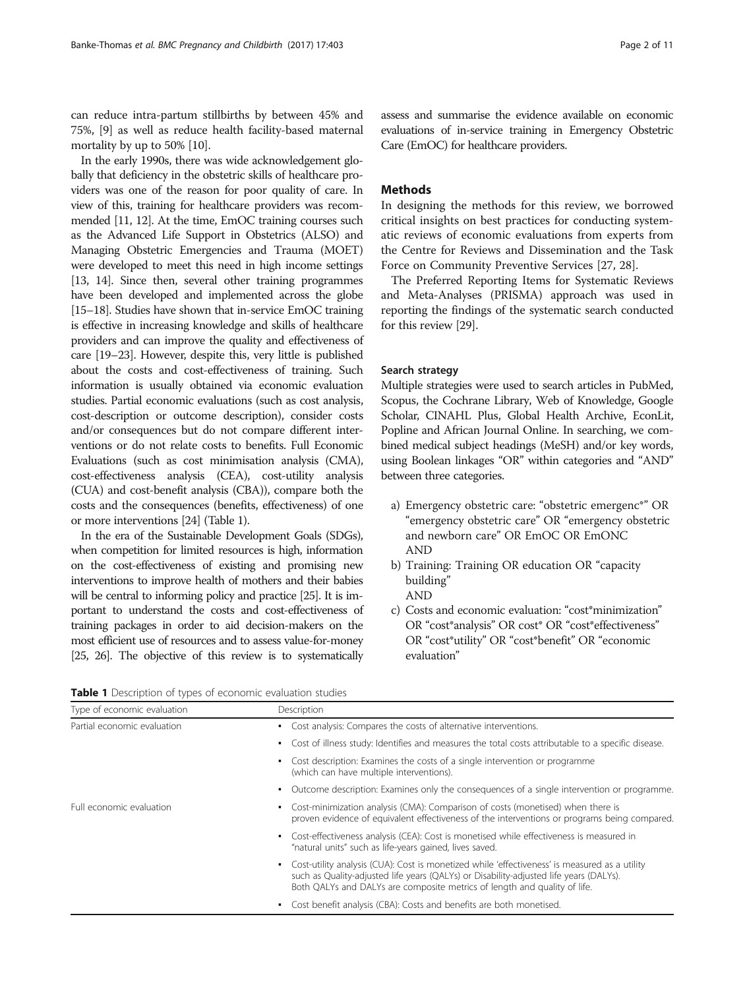can reduce intra-partum stillbirths by between 45% and 75%, [\[9](#page-8-0)] as well as reduce health facility-based maternal mortality by up to 50% [[10](#page-9-0)].

In the early 1990s, there was wide acknowledgement globally that deficiency in the obstetric skills of healthcare providers was one of the reason for poor quality of care. In view of this, training for healthcare providers was recommended [\[11, 12](#page-9-0)]. At the time, EmOC training courses such as the Advanced Life Support in Obstetrics (ALSO) and Managing Obstetric Emergencies and Trauma (MOET) were developed to meet this need in high income settings [[13](#page-9-0), [14\]](#page-9-0). Since then, several other training programmes have been developed and implemented across the globe [[15](#page-9-0)–[18](#page-9-0)]. Studies have shown that in-service EmOC training is effective in increasing knowledge and skills of healthcare providers and can improve the quality and effectiveness of care [\[19](#page-9-0)–[23\]](#page-9-0). However, despite this, very little is published about the costs and cost-effectiveness of training. Such information is usually obtained via economic evaluation studies. Partial economic evaluations (such as cost analysis, cost-description or outcome description), consider costs and/or consequences but do not compare different interventions or do not relate costs to benefits. Full Economic Evaluations (such as cost minimisation analysis (CMA), cost-effectiveness analysis (CEA), cost-utility analysis (CUA) and cost-benefit analysis (CBA)), compare both the costs and the consequences (benefits, effectiveness) of one or more interventions [\[24](#page-9-0)] (Table 1).

In the era of the Sustainable Development Goals (SDGs), when competition for limited resources is high, information on the cost-effectiveness of existing and promising new interventions to improve health of mothers and their babies will be central to informing policy and practice [[25\]](#page-9-0). It is important to understand the costs and cost-effectiveness of training packages in order to aid decision-makers on the most efficient use of resources and to assess value-for-money [[25, 26\]](#page-9-0). The objective of this review is to systematically

assess and summarise the evidence available on economic evaluations of in-service training in Emergency Obstetric Care (EmOC) for healthcare providers.

#### **Methods**

In designing the methods for this review, we borrowed critical insights on best practices for conducting systematic reviews of economic evaluations from experts from the Centre for Reviews and Dissemination and the Task Force on Community Preventive Services [\[27](#page-9-0), [28](#page-9-0)].

The Preferred Reporting Items for Systematic Reviews and Meta-Analyses (PRISMA) approach was used in reporting the findings of the systematic search conducted for this review [[29](#page-9-0)].

#### Search strategy

Multiple strategies were used to search articles in PubMed, Scopus, the Cochrane Library, Web of Knowledge, Google Scholar, CINAHL Plus, Global Health Archive, EconLit, Popline and African Journal Online. In searching, we combined medical subject headings (MeSH) and/or key words, using Boolean linkages "OR" within categories and "AND" between three categories.

- a) Emergency obstetric care: "obstetric emergenc\*" OR "emergency obstetric care" OR "emergency obstetric and newborn care" OR EmOC OR EmONC AND
- b) Training: Training OR education OR "capacity building" AND
- c) Costs and economic evaluation: "cost\*minimization" OR "cost\*analysis" OR cost\* OR "cost\*effectiveness" OR "cost\*utility" OR "cost\*benefit" OR "economic evaluation"

Table 1 Description of types of economic evaluation studies

| Type of economic evaluation | Description                                                                                                                                                                                                                                                            |
|-----------------------------|------------------------------------------------------------------------------------------------------------------------------------------------------------------------------------------------------------------------------------------------------------------------|
| Partial economic evaluation | Cost analysis: Compares the costs of alternative interventions.                                                                                                                                                                                                        |
|                             | Cost of illness study: Identifies and measures the total costs attributable to a specific disease.                                                                                                                                                                     |
|                             | Cost description: Examines the costs of a single intervention or programme<br>(which can have multiple interventions).                                                                                                                                                 |
|                             | Outcome description: Examines only the consequences of a single intervention or programme.                                                                                                                                                                             |
| Full economic evaluation    | Cost-minimization analysis (CMA): Comparison of costs (monetised) when there is<br>proven evidence of equivalent effectiveness of the interventions or programs being compared.                                                                                        |
|                             | Cost-effectiveness analysis (CEA): Cost is monetised while effectiveness is measured in<br>"natural units" such as life-years gained, lives saved.                                                                                                                     |
|                             | • Cost-utility analysis (CUA): Cost is monetized while 'effectiveness' is measured as a utility<br>such as Quality-adjusted life years (QALYs) or Disability-adjusted life years (DALYs).<br>Both QALYs and DALYs are composite metrics of length and quality of life. |
|                             | Cost benefit analysis (CBA): Costs and benefits are both monetised.                                                                                                                                                                                                    |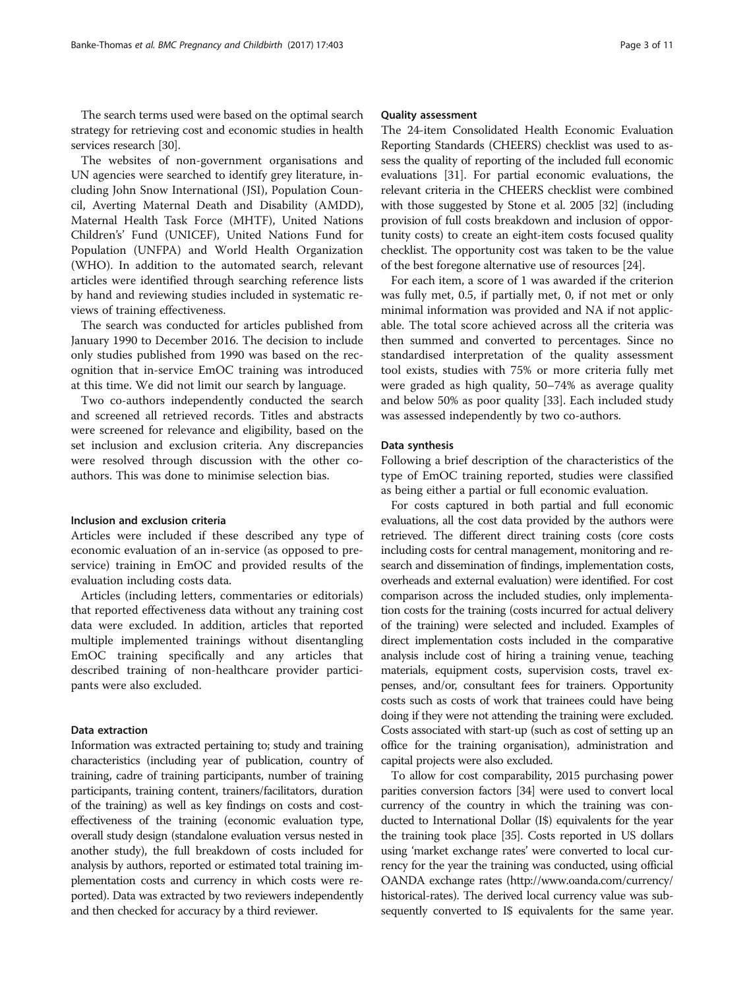The search terms used were based on the optimal search strategy for retrieving cost and economic studies in health services research [\[30](#page-9-0)].

The websites of non-government organisations and UN agencies were searched to identify grey literature, including John Snow International (JSI), Population Council, Averting Maternal Death and Disability (AMDD), Maternal Health Task Force (MHTF), United Nations Children's' Fund (UNICEF), United Nations Fund for Population (UNFPA) and World Health Organization (WHO). In addition to the automated search, relevant articles were identified through searching reference lists by hand and reviewing studies included in systematic reviews of training effectiveness.

The search was conducted for articles published from January 1990 to December 2016. The decision to include only studies published from 1990 was based on the recognition that in-service EmOC training was introduced at this time. We did not limit our search by language.

Two co-authors independently conducted the search and screened all retrieved records. Titles and abstracts were screened for relevance and eligibility, based on the set inclusion and exclusion criteria. Any discrepancies were resolved through discussion with the other coauthors. This was done to minimise selection bias.

#### Inclusion and exclusion criteria

Articles were included if these described any type of economic evaluation of an in-service (as opposed to preservice) training in EmOC and provided results of the evaluation including costs data.

Articles (including letters, commentaries or editorials) that reported effectiveness data without any training cost data were excluded. In addition, articles that reported multiple implemented trainings without disentangling EmOC training specifically and any articles that described training of non-healthcare provider participants were also excluded.

## Data extraction

Information was extracted pertaining to; study and training characteristics (including year of publication, country of training, cadre of training participants, number of training participants, training content, trainers/facilitators, duration of the training) as well as key findings on costs and costeffectiveness of the training (economic evaluation type, overall study design (standalone evaluation versus nested in another study), the full breakdown of costs included for analysis by authors, reported or estimated total training implementation costs and currency in which costs were reported). Data was extracted by two reviewers independently and then checked for accuracy by a third reviewer.

#### Quality assessment

The 24-item Consolidated Health Economic Evaluation Reporting Standards (CHEERS) checklist was used to assess the quality of reporting of the included full economic evaluations [\[31\]](#page-9-0). For partial economic evaluations, the relevant criteria in the CHEERS checklist were combined with those suggested by Stone et al. 2005 [[32](#page-9-0)] (including provision of full costs breakdown and inclusion of opportunity costs) to create an eight-item costs focused quality checklist. The opportunity cost was taken to be the value of the best foregone alternative use of resources [[24\]](#page-9-0).

For each item, a score of 1 was awarded if the criterion was fully met, 0.5, if partially met, 0, if not met or only minimal information was provided and NA if not applicable. The total score achieved across all the criteria was then summed and converted to percentages. Since no standardised interpretation of the quality assessment tool exists, studies with 75% or more criteria fully met were graded as high quality, 50–74% as average quality and below 50% as poor quality [\[33](#page-9-0)]. Each included study was assessed independently by two co-authors.

#### Data synthesis

Following a brief description of the characteristics of the type of EmOC training reported, studies were classified as being either a partial or full economic evaluation.

For costs captured in both partial and full economic evaluations, all the cost data provided by the authors were retrieved. The different direct training costs (core costs including costs for central management, monitoring and research and dissemination of findings, implementation costs, overheads and external evaluation) were identified. For cost comparison across the included studies, only implementation costs for the training (costs incurred for actual delivery of the training) were selected and included. Examples of direct implementation costs included in the comparative analysis include cost of hiring a training venue, teaching materials, equipment costs, supervision costs, travel expenses, and/or, consultant fees for trainers. Opportunity costs such as costs of work that trainees could have being doing if they were not attending the training were excluded. Costs associated with start-up (such as cost of setting up an office for the training organisation), administration and capital projects were also excluded.

To allow for cost comparability, 2015 purchasing power parities conversion factors [[34](#page-9-0)] were used to convert local currency of the country in which the training was conducted to International Dollar (I\$) equivalents for the year the training took place [[35](#page-9-0)]. Costs reported in US dollars using 'market exchange rates' were converted to local currency for the year the training was conducted, using official OANDA exchange rates [\(http://www.oanda.com/currency/](http://www.oanda.com/currency/historical-rates) [historical-rates](http://www.oanda.com/currency/historical-rates)). The derived local currency value was subsequently converted to I\$ equivalents for the same year.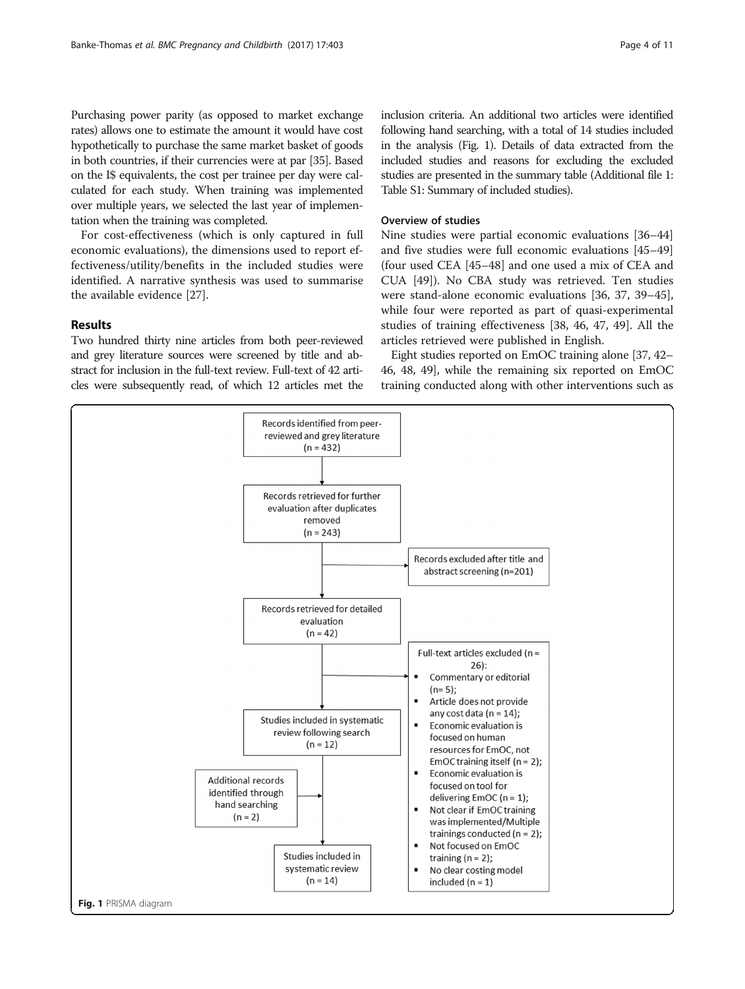Purchasing power parity (as opposed to market exchange rates) allows one to estimate the amount it would have cost hypothetically to purchase the same market basket of goods in both countries, if their currencies were at par [\[35\]](#page-9-0). Based on the I\$ equivalents, the cost per trainee per day were calculated for each study. When training was implemented over multiple years, we selected the last year of implementation when the training was completed.

For cost-effectiveness (which is only captured in full economic evaluations), the dimensions used to report effectiveness/utility/benefits in the included studies were identified. A narrative synthesis was used to summarise the available evidence [[27\]](#page-9-0).

#### Results

Two hundred thirty nine articles from both peer-reviewed and grey literature sources were screened by title and abstract for inclusion in the full-text review. Full-text of 42 articles were subsequently read, of which 12 articles met the inclusion criteria. An additional two articles were identified following hand searching, with a total of 14 studies included in the analysis (Fig. 1). Details of data extracted from the included studies and reasons for excluding the excluded studies are presented in the summary table (Additional file [1](#page-8-0): Table S1: Summary of included studies).

#### Overview of studies

Nine studies were partial economic evaluations [[36](#page-9-0)–[44](#page-9-0)] and five studies were full economic evaluations [[45](#page-9-0)–[49](#page-9-0)] (four used CEA [\[45](#page-9-0)–[48\]](#page-9-0) and one used a mix of CEA and CUA [[49](#page-9-0)]). No CBA study was retrieved. Ten studies were stand-alone economic evaluations [[36, 37, 39](#page-9-0)–[45](#page-9-0)], while four were reported as part of quasi-experimental studies of training effectiveness [[38, 46, 47](#page-9-0), [49](#page-9-0)]. All the articles retrieved were published in English.

Eight studies reported on EmOC training alone [[37](#page-9-0), [42](#page-9-0)– [46](#page-9-0), [48](#page-9-0), [49](#page-9-0)], while the remaining six reported on EmOC training conducted along with other interventions such as

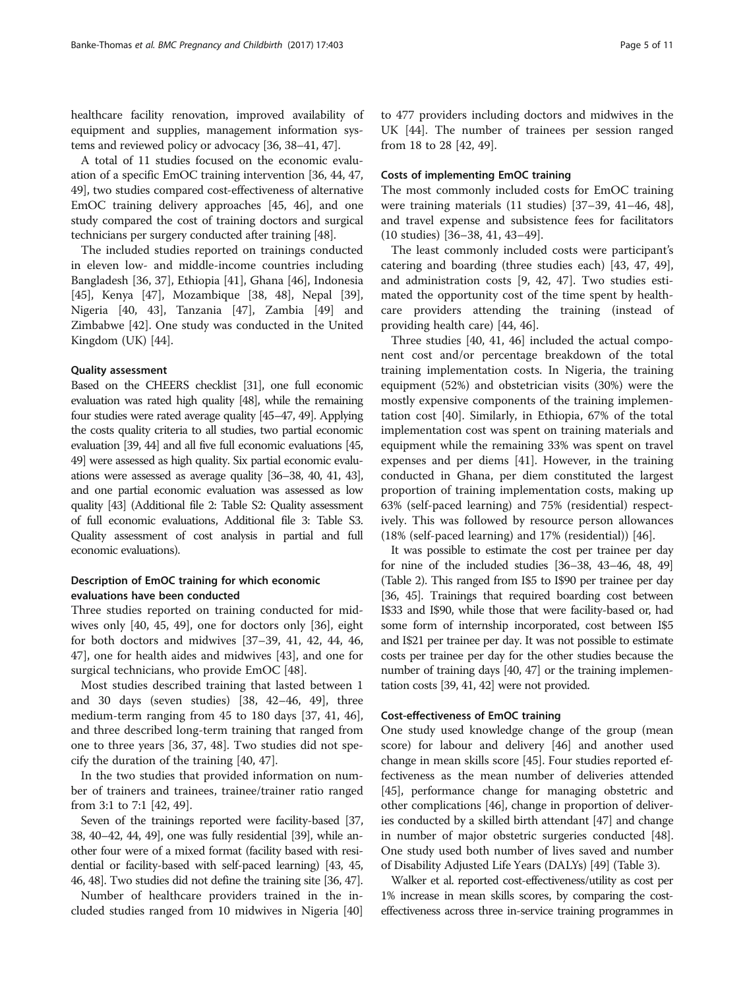healthcare facility renovation, improved availability of equipment and supplies, management information systems and reviewed policy or advocacy [\[36, 38](#page-9-0)–[41, 47](#page-9-0)].

A total of 11 studies focused on the economic evaluation of a specific EmOC training intervention [[36](#page-9-0), [44, 47](#page-9-0), [49](#page-9-0)], two studies compared cost-effectiveness of alternative EmOC training delivery approaches [\[45](#page-9-0), [46](#page-9-0)], and one study compared the cost of training doctors and surgical technicians per surgery conducted after training [\[48\]](#page-9-0).

The included studies reported on trainings conducted in eleven low- and middle-income countries including Bangladesh [[36, 37\]](#page-9-0), Ethiopia [[41\]](#page-9-0), Ghana [[46\]](#page-9-0), Indonesia [[45\]](#page-9-0), Kenya [\[47](#page-9-0)], Mozambique [[38](#page-9-0), [48\]](#page-9-0), Nepal [\[39](#page-9-0)], Nigeria [[40, 43\]](#page-9-0), Tanzania [[47\]](#page-9-0), Zambia [\[49](#page-9-0)] and Zimbabwe [[42\]](#page-9-0). One study was conducted in the United Kingdom (UK) [[44](#page-9-0)].

#### Quality assessment

Based on the CHEERS checklist [\[31\]](#page-9-0), one full economic evaluation was rated high quality [\[48](#page-9-0)], while the remaining four studies were rated average quality [\[45](#page-9-0)–[47](#page-9-0), [49\]](#page-9-0). Applying the costs quality criteria to all studies, two partial economic evaluation [[39, 44\]](#page-9-0) and all five full economic evaluations [\[45](#page-9-0), [49\]](#page-9-0) were assessed as high quality. Six partial economic evaluations were assessed as average quality [[36](#page-9-0)–[38, 40, 41, 43\]](#page-9-0), and one partial economic evaluation was assessed as low quality [\[43](#page-9-0)] (Additional file [2](#page-8-0): Table S2: Quality assessment of full economic evaluations, Additional file [3:](#page-8-0) Table S3. Quality assessment of cost analysis in partial and full economic evaluations).

# Description of EmOC training for which economic evaluations have been conducted

Three studies reported on training conducted for midwives only [\[40](#page-9-0), [45, 49\]](#page-9-0), one for doctors only [\[36](#page-9-0)], eight for both doctors and midwives [[37](#page-9-0)–[39](#page-9-0), [41, 42](#page-9-0), [44, 46](#page-9-0), [47\]](#page-9-0), one for health aides and midwives [[43\]](#page-9-0), and one for surgical technicians, who provide EmOC [\[48](#page-9-0)].

Most studies described training that lasted between 1 and 30 days (seven studies) [\[38, 42](#page-9-0)–[46, 49](#page-9-0)], three medium-term ranging from 45 to 180 days [\[37, 41, 46](#page-9-0)], and three described long-term training that ranged from one to three years [[36, 37, 48](#page-9-0)]. Two studies did not specify the duration of the training [\[40](#page-9-0), [47\]](#page-9-0).

In the two studies that provided information on number of trainers and trainees, trainee/trainer ratio ranged from 3:1 to 7:1 [[42, 49](#page-9-0)].

Seven of the trainings reported were facility-based [\[37](#page-9-0), [38](#page-9-0), [40](#page-9-0)–[42](#page-9-0), [44, 49](#page-9-0)], one was fully residential [[39](#page-9-0)], while another four were of a mixed format (facility based with residential or facility-based with self-paced learning) [\[43](#page-9-0), [45](#page-9-0), [46](#page-9-0), [48](#page-9-0)]. Two studies did not define the training site [[36](#page-9-0), [47](#page-9-0)].

Number of healthcare providers trained in the included studies ranged from 10 midwives in Nigeria [[40](#page-9-0)] to 477 providers including doctors and midwives in the UK [\[44\]](#page-9-0). The number of trainees per session ranged from 18 to 28 [\[42](#page-9-0), [49](#page-9-0)].

#### Costs of implementing EmOC training

The most commonly included costs for EmOC training were training materials (11 studies) [\[37](#page-9-0)–[39, 41](#page-9-0)–[46](#page-9-0), [48](#page-9-0)], and travel expense and subsistence fees for facilitators (10 studies) [\[36](#page-9-0)–[38, 41, 43](#page-9-0)–[49](#page-9-0)].

The least commonly included costs were participant's catering and boarding (three studies each) [\[43, 47](#page-9-0), [49](#page-9-0)], and administration costs [[9,](#page-8-0) [42](#page-9-0), [47](#page-9-0)]. Two studies estimated the opportunity cost of the time spent by healthcare providers attending the training (instead of providing health care) [[44, 46\]](#page-9-0).

Three studies [[40, 41](#page-9-0), [46\]](#page-9-0) included the actual component cost and/or percentage breakdown of the total training implementation costs. In Nigeria, the training equipment (52%) and obstetrician visits (30%) were the mostly expensive components of the training implementation cost [\[40](#page-9-0)]. Similarly, in Ethiopia, 67% of the total implementation cost was spent on training materials and equipment while the remaining 33% was spent on travel expenses and per diems [[41](#page-9-0)]. However, in the training conducted in Ghana, per diem constituted the largest proportion of training implementation costs, making up 63% (self-paced learning) and 75% (residential) respectively. This was followed by resource person allowances (18% (self-paced learning) and 17% (residential)) [[46\]](#page-9-0).

It was possible to estimate the cost per trainee per day for nine of the included studies [\[36](#page-9-0)–[38, 43](#page-9-0)–[46, 48, 49](#page-9-0)] (Table [2\)](#page-5-0). This ranged from I\$5 to I\$90 per trainee per day [[36](#page-9-0), [45\]](#page-9-0). Trainings that required boarding cost between I\$33 and I\$90, while those that were facility-based or, had some form of internship incorporated, cost between I\$5 and I\$21 per trainee per day. It was not possible to estimate costs per trainee per day for the other studies because the number of training days [[40, 47\]](#page-9-0) or the training implementation costs [\[39, 41, 42\]](#page-9-0) were not provided.

#### Cost-effectiveness of EmOC training

One study used knowledge change of the group (mean score) for labour and delivery [\[46\]](#page-9-0) and another used change in mean skills score [[45](#page-9-0)]. Four studies reported effectiveness as the mean number of deliveries attended [[45](#page-9-0)], performance change for managing obstetric and other complications [\[46\]](#page-9-0), change in proportion of deliveries conducted by a skilled birth attendant [\[47\]](#page-9-0) and change in number of major obstetric surgeries conducted [[48](#page-9-0)]. One study used both number of lives saved and number of Disability Adjusted Life Years (DALYs) [[49\]](#page-9-0) (Table [3\)](#page-6-0).

Walker et al. reported cost-effectiveness/utility as cost per 1% increase in mean skills scores, by comparing the costeffectiveness across three in-service training programmes in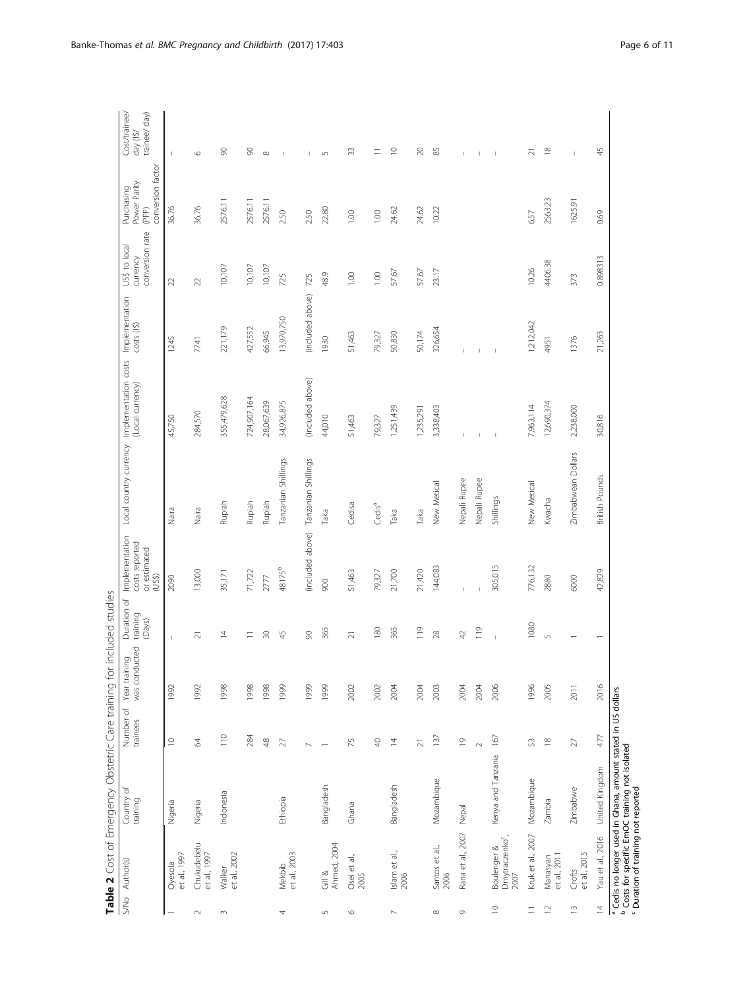<span id="page-5-0"></span>

|                  |                                                    | Table 2 Cost of Emergency Obstetric Care training for                                                                                 |                         |                                | included studies                  |                                                           |                        |                                          |                                 |                                              |                                                          |                                            |
|------------------|----------------------------------------------------|---------------------------------------------------------------------------------------------------------------------------------------|-------------------------|--------------------------------|-----------------------------------|-----------------------------------------------------------|------------------------|------------------------------------------|---------------------------------|----------------------------------------------|----------------------------------------------------------|--------------------------------------------|
|                  | S/No Author(s)                                     | Country of<br>training                                                                                                                | Number of<br>trainees   | was conducted<br>Year training | Duration of<br>training<br>(Days) | Implementation<br>costs reported<br>or estimated<br>(US5) | Local country currency | Implementation costs<br>(Local currency) | Implementation<br>$costs$ (I\$) | conversion rate<br>US\$ to local<br>currency | conversion factor<br>Power Parity<br>Purchasing<br>(PPP) | trainee/day)<br>Cost/trainee<br>day $(15/$ |
|                  | et al., 1997<br>Oyesola                            | Nigeria                                                                                                                               | $\supseteq$             | 1992                           |                                   | 2090                                                      | Naira                  | 45,750                                   | 1245                            | 22                                           | 36.76                                                    |                                            |
| $\sim$           | Chukudebelu<br>et al., 1997                        | Nigeria                                                                                                                               | 2                       | 1992                           | $\overline{\sim}$                 | 13,000                                                    | Naira                  | 284,570                                  | 7741                            | 22                                           | 36.76                                                    | $\circ$                                    |
| $\sim$           | et al., 2002<br>Walker                             | Indonesia                                                                                                                             | 110                     | 1998                           | $\overline{4}$                    | 35,171                                                    | Rupiah                 | 355,479,628                              | 221,179                         | 10,107                                       | 2576.11                                                  | $\infty$                                   |
|                  |                                                    |                                                                                                                                       | 284                     | 1998                           | Ξ                                 | 71,722                                                    | Rupiah                 | 724,907,164                              | 427,552                         | 10,107                                       | 2576.11                                                  | 8                                          |
|                  |                                                    |                                                                                                                                       | $\frac{\infty}{2}$      | 1998                           | $\approx$                         | 2777                                                      | Rupiah                 | 28,067,639                               | 66,945                          | 10,107                                       | 2576.11                                                  | $\infty$                                   |
| 4                | et al., 2003<br>Mekbib                             | Ethiopia                                                                                                                              | $\overline{z}$          | 1999                           | 45                                | 48175 <sup>b</sup>                                        | Tanzanian Shillings    | 34,926,875                               | 13,970,750                      | 725                                          | 2.50                                                     | f,                                         |
|                  |                                                    |                                                                                                                                       |                         | 1999                           | 8                                 | (included above)                                          | Tanzanian Shillings    | (included above)                         | (included above)                | 725                                          | 2.50                                                     | I                                          |
| $\mathsf{L}\cap$ | Ahmed, 2004<br>Gill &                              | Bangladesh                                                                                                                            |                         | 1999                           | 365                               | 900                                                       | Taka                   | 44,010                                   | 1930                            | 48.9                                         | 22.80                                                    | $\mathsf{L}\cap$                           |
| $\circ$          | Osei et al.,<br>2005                               | Ghana                                                                                                                                 | 15                      | 2002                           | $\overline{z}$                    | 51,463                                                    | Cedisa                 | 51,463                                   | 51,463                          | 1.00                                         | 1.00                                                     | 33                                         |
|                  |                                                    |                                                                                                                                       | $\Theta$                | 2002                           | 180                               | 79,327                                                    | Cedis <sup>a</sup>     | 79,327                                   | 79,327                          | 1.00                                         | 1.00                                                     | $\equiv$                                   |
| $\sim$           | Islam et al.,<br>2006                              | Bangladesh                                                                                                                            | $\overline{4}$          | 2004                           | 365                               | 21,700                                                    | Taka                   | 1,251,439                                | 50,830                          | 57.67                                        | 24.62                                                    | $\supseteq$                                |
|                  |                                                    |                                                                                                                                       | $\overline{z}$          | 2004                           | 119                               | 21,420                                                    | Taka                   | 1,235,291                                | 50,174                          | 57.67                                        | 24.62                                                    | $\approx$                                  |
| $\infty$         | Santos et al.,<br>2006                             | Mozambique                                                                                                                            | 137                     | 2003                           | $^{28}$                           | 144,083                                                   | New Metica             | 3,338,403                                | 326,654                         | 23.17                                        | 10.22                                                    | 85                                         |
| $\circ$          | et al., 2007<br>Rana                               | Nepal                                                                                                                                 | $\overline{\mathsf{C}}$ | 2004                           | $42$                              | $\overline{1}$                                            | Nepali Rupee           | J.                                       |                                 |                                              |                                                          | $\mathbf{I}$                               |
|                  |                                                    |                                                                                                                                       | $\sim$                  | 2004                           | 119                               |                                                           | Nepali Rupee           |                                          |                                 |                                              |                                                          | $\overline{1}$                             |
| $\supseteq$      | Dmytraczenko <sup>c</sup> ,<br>Boulenger &<br>2007 | Kenya and Tanzania                                                                                                                    | 167                     | 2006                           | $\overline{1}$                    | 305,015                                                   | Shillings              |                                          |                                 |                                              |                                                          | $\overline{1}$                             |
| $\equiv$         | Kruk et al., 2007                                  | Mozambique                                                                                                                            | $\mathbb S$             | 1996                           | 1080                              | 776,132                                                   | New Metical            | 7,963,114                                | 1,212,042                       | 10.26                                        | 6.57                                                     | $\overline{z}$                             |
| $\supseteq$      | et al., 2011<br>Manasyan                           | Zambia                                                                                                                                | $\approx$               | 2005                           | $\sqrt{2}$                        | 2880                                                      | Kwacha                 | 12,690,374                               | 4951                            | 4406.38                                      | 2563.23                                                  | $\approx$                                  |
| $\frac{1}{2}$    | et al., 2015<br>Crofts                             | Zimbabwe                                                                                                                              | $\mathcal{Z}$           | 2011                           |                                   | 6000                                                      | Zimbabwean Dollars     | 2,238,000                                | 1376                            | 373                                          | 1625.91                                                  | $\overline{\phantom{a}}$                   |
| $\overline{4}$   | Yau et al., 2016                                   | United Kingdom                                                                                                                        | 477                     | 2016                           |                                   | 42,829                                                    | British Pounds         | 30,816                                   | 21,263                          | 0.898313                                     | 0.69                                                     | 45                                         |
|                  |                                                    | <sup>a</sup> Cedis no longer used in Ghana, amount stated in US dollars<br><sup>b</sup> Costs for specific EmOC training not isolated |                         |                                |                                   |                                                           |                        |                                          |                                 |                                              |                                                          |                                            |

Duration of training not reported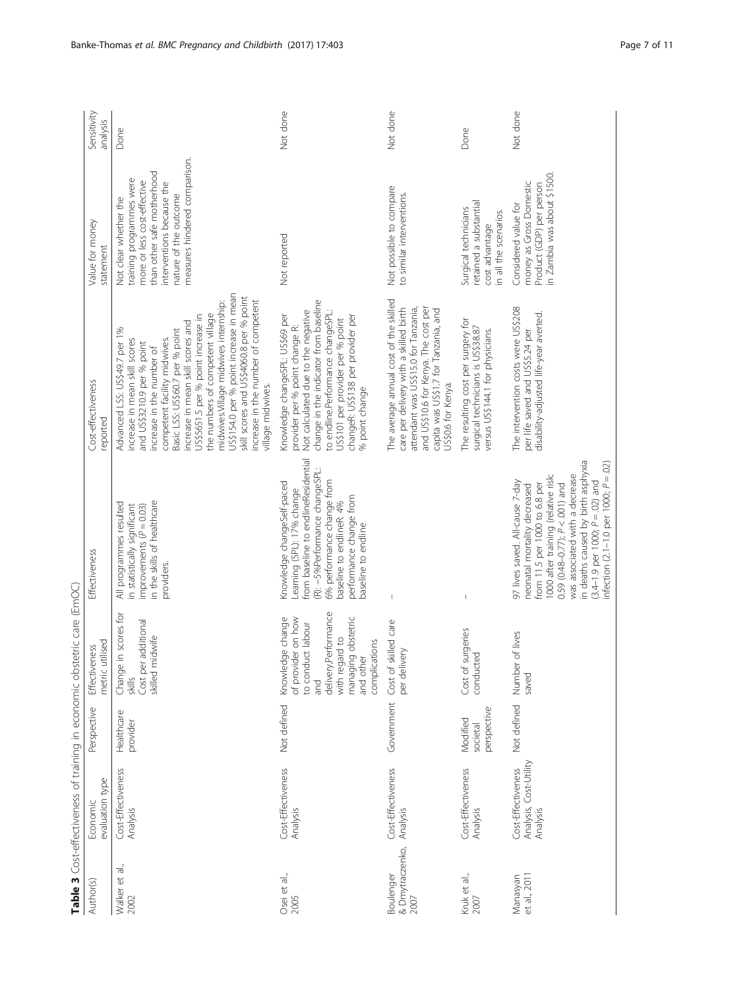<span id="page-6-0"></span>

| ē                                    |                                                          |                                     |                                                                                                                                                                   |                                                                                                                                                                                                                                                                                                                                                       |                                                                                                                                                                                                                                                                                                                                                                                                                                                                                                       |                                                                                                                                                                                                       |                         |
|--------------------------------------|----------------------------------------------------------|-------------------------------------|-------------------------------------------------------------------------------------------------------------------------------------------------------------------|-------------------------------------------------------------------------------------------------------------------------------------------------------------------------------------------------------------------------------------------------------------------------------------------------------------------------------------------------------|-------------------------------------------------------------------------------------------------------------------------------------------------------------------------------------------------------------------------------------------------------------------------------------------------------------------------------------------------------------------------------------------------------------------------------------------------------------------------------------------------------|-------------------------------------------------------------------------------------------------------------------------------------------------------------------------------------------------------|-------------------------|
| Author(s)                            | evaluation type<br>Economic                              | Perspective                         | metric utilised<br>Effectiveness                                                                                                                                  | Effectiveness                                                                                                                                                                                                                                                                                                                                         | Cost-effectiveness<br>eported                                                                                                                                                                                                                                                                                                                                                                                                                                                                         | Value for money<br>statement                                                                                                                                                                          | Sensitivity<br>analysis |
| Walker et al.,<br>2002               | Cost-Effectiveness<br>Analysis                           | Healthcare<br>provider              | in scores for<br>Cost per additional<br>skilled midwife<br>Change<br>skills                                                                                       | in the skills of healthcare<br>All programmes resulted<br>improvements ( $P = 0.03$ )<br>in statistically significant<br>providers.                                                                                                                                                                                                                   | US\$154.0 per % point increase in mean<br>skill scores and US\$4060.8 per % point<br>increase in the number of competent<br>midwives. Village midwives internship:<br>the numbers of competent village<br>US\$5651.5 per % point increase in<br>ncrease in mean skill scores and<br>Advanced LSS: US\$49.7 per 1%<br>Basic LSS: US\$60.7 per % point<br>increase in mean skill scores<br>competent facility midwives.<br>and US\$3210.9 per % point<br>increase in the number of<br>village midwives. | measures hindered comparison.<br>than other safe motherhood<br>training programmes were<br>more or less cost-effective<br>interventions because the<br>nature of the outcome<br>Not clear whether the | Done                    |
| Osei et al.,<br>2005                 | Cost-Effectiveness<br>Analysis                           | Not defined                         | delivery, Performance<br>Knowledge change<br>of provider on how<br>managing obstetric<br>and other<br>to conduct labour<br>with regard to<br>complications<br>and | from baseline to endlineResidential<br>(R): -5%Performance changeSPL:<br>6% performance change from<br>Knowledge changeSelf-paced<br>Learning (SPL): 17% change<br>performance change from<br>baseline to endlineR: 4%<br>baseline to endline                                                                                                         | change in the indicator from baseline<br>Not calculated due to the negative<br>to endline.Performance changeSPL:<br>Knowledge changeSPL: US\$69 per<br>changeR: US\$138 per provider per<br>US\$101 per provider per % point<br>provider per % point change R:<br>% point change                                                                                                                                                                                                                      | Not reported                                                                                                                                                                                          | Not done                |
| Boulenger<br>& Dmytraczenko,<br>2007 | Cost-Effectiveness<br>Analysis                           | Government                          | skilled care<br>per delivery<br>Cost of                                                                                                                           | $\mathsf I$                                                                                                                                                                                                                                                                                                                                           | The average annual cost of the skilled<br>and US\$10.6 for Kenya. The cost per<br>care per delivery with a skilled birth<br>attendant was US\$15.0 for Tanzania,<br>capita was US\$1.7 for Tanzania, and<br>US\$0.6 for Kenya.                                                                                                                                                                                                                                                                        | Not possible to compare<br>to similar interventions.                                                                                                                                                  | Not done                |
| Kruk et al.,<br>2007                 | Cost-Effectiveness<br>Analysis                           | perspective<br>Modified<br>societal | surgeries<br>Ted<br>conduct<br>Cost of                                                                                                                            | $\mathsf I$                                                                                                                                                                                                                                                                                                                                           | The resulting cost per surgery for<br>surgical technicians is US\$38.87<br>versus US\$144.1 for physicians.                                                                                                                                                                                                                                                                                                                                                                                           | retained a substantial<br>Surgical technicians<br>in all the scenarios.<br>cost advantage                                                                                                             | Done                    |
| et al., 2011<br>Manasyan             | Analysis, Cost-Utility<br>Cost-Effectiveness<br>Analysis | Not defined                         | of lives<br>Number<br>saved                                                                                                                                       | in deaths caused by birth asphyxia<br>infection $(2.1 - 1.0 \text{ per } 1000; P = .02)$<br>was associated with a decrease<br>1000 after training (relative risk:<br>97 lives saved. All-cause 7-day<br>$(3.4 - 1.9$ per 1000; $P = .02$ ) and<br>from 11.5 per 1000 to 6.8 per<br>0.59 (0.48-0.77); $P < .001$ ) and<br>neonatal mortality decreased | The intervention costs were US\$208<br>disability-adjusted life-year averted<br>per life saved and US\$5.24 per                                                                                                                                                                                                                                                                                                                                                                                       | in Zambia was about \$1500.<br>money as Gross Domestic<br>Product (GDP) per person<br>Considered value for                                                                                            | Not done                |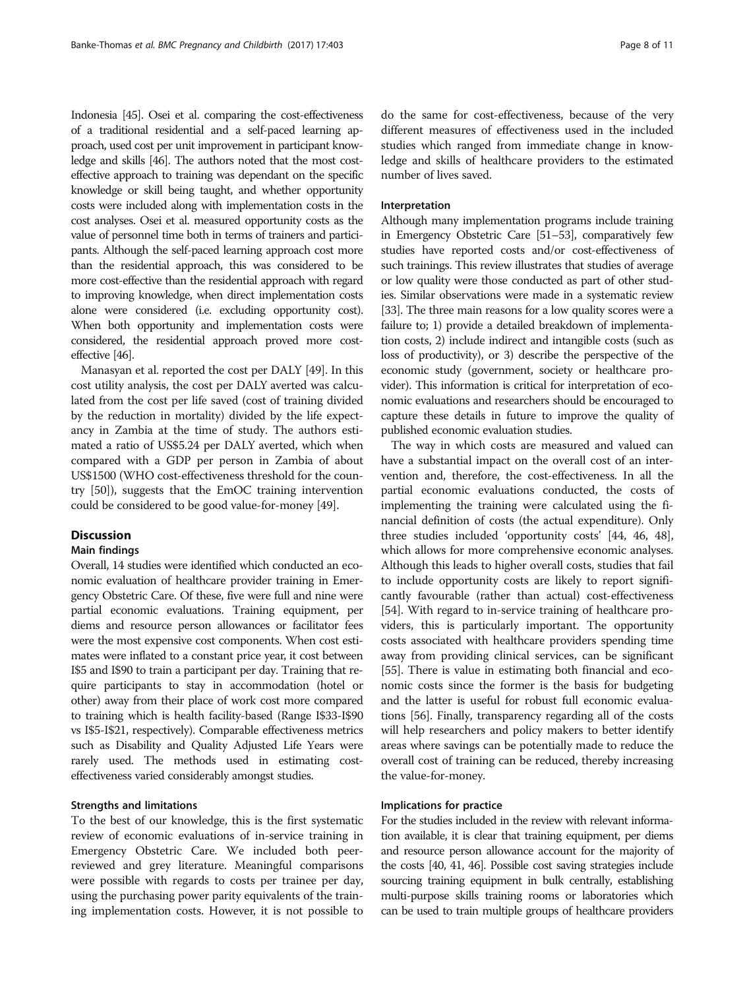Indonesia [[45\]](#page-9-0). Osei et al. comparing the cost-effectiveness of a traditional residential and a self-paced learning approach, used cost per unit improvement in participant knowledge and skills [\[46](#page-9-0)]. The authors noted that the most costeffective approach to training was dependant on the specific knowledge or skill being taught, and whether opportunity costs were included along with implementation costs in the cost analyses. Osei et al. measured opportunity costs as the value of personnel time both in terms of trainers and participants. Although the self-paced learning approach cost more than the residential approach, this was considered to be more cost-effective than the residential approach with regard to improving knowledge, when direct implementation costs alone were considered (i.e. excluding opportunity cost). When both opportunity and implementation costs were considered, the residential approach proved more costeffective [\[46\]](#page-9-0).

Manasyan et al. reported the cost per DALY [\[49\]](#page-9-0). In this cost utility analysis, the cost per DALY averted was calculated from the cost per life saved (cost of training divided by the reduction in mortality) divided by the life expectancy in Zambia at the time of study. The authors estimated a ratio of US\$5.24 per DALY averted, which when compared with a GDP per person in Zambia of about US\$1500 (WHO cost-effectiveness threshold for the country [\[50](#page-9-0)]), suggests that the EmOC training intervention could be considered to be good value-for-money [\[49\]](#page-9-0).

#### Discussion

#### Main findings

Overall, 14 studies were identified which conducted an economic evaluation of healthcare provider training in Emergency Obstetric Care. Of these, five were full and nine were partial economic evaluations. Training equipment, per diems and resource person allowances or facilitator fees were the most expensive cost components. When cost estimates were inflated to a constant price year, it cost between I\$5 and I\$90 to train a participant per day. Training that require participants to stay in accommodation (hotel or other) away from their place of work cost more compared to training which is health facility-based (Range I\$33-I\$90 vs I\$5-I\$21, respectively). Comparable effectiveness metrics such as Disability and Quality Adjusted Life Years were rarely used. The methods used in estimating costeffectiveness varied considerably amongst studies.

#### Strengths and limitations

To the best of our knowledge, this is the first systematic review of economic evaluations of in-service training in Emergency Obstetric Care. We included both peerreviewed and grey literature. Meaningful comparisons were possible with regards to costs per trainee per day, using the purchasing power parity equivalents of the training implementation costs. However, it is not possible to do the same for cost-effectiveness, because of the very different measures of effectiveness used in the included studies which ranged from immediate change in knowledge and skills of healthcare providers to the estimated number of lives saved.

### Interpretation

Although many implementation programs include training in Emergency Obstetric Care [[51](#page-9-0)–[53](#page-9-0)], comparatively few studies have reported costs and/or cost-effectiveness of such trainings. This review illustrates that studies of average or low quality were those conducted as part of other studies. Similar observations were made in a systematic review [[33](#page-9-0)]. The three main reasons for a low quality scores were a failure to; 1) provide a detailed breakdown of implementation costs, 2) include indirect and intangible costs (such as loss of productivity), or 3) describe the perspective of the economic study (government, society or healthcare provider). This information is critical for interpretation of economic evaluations and researchers should be encouraged to capture these details in future to improve the quality of published economic evaluation studies.

The way in which costs are measured and valued can have a substantial impact on the overall cost of an intervention and, therefore, the cost-effectiveness. In all the partial economic evaluations conducted, the costs of implementing the training were calculated using the financial definition of costs (the actual expenditure). Only three studies included 'opportunity costs' [\[44, 46](#page-9-0), [48](#page-9-0)], which allows for more comprehensive economic analyses. Although this leads to higher overall costs, studies that fail to include opportunity costs are likely to report significantly favourable (rather than actual) cost-effectiveness [[54](#page-9-0)]. With regard to in-service training of healthcare providers, this is particularly important. The opportunity costs associated with healthcare providers spending time away from providing clinical services, can be significant [[55](#page-9-0)]. There is value in estimating both financial and economic costs since the former is the basis for budgeting and the latter is useful for robust full economic evaluations [\[56\]](#page-10-0). Finally, transparency regarding all of the costs will help researchers and policy makers to better identify areas where savings can be potentially made to reduce the overall cost of training can be reduced, thereby increasing the value-for-money.

#### Implications for practice

For the studies included in the review with relevant information available, it is clear that training equipment, per diems and resource person allowance account for the majority of the costs [\[40, 41](#page-9-0), [46\]](#page-9-0). Possible cost saving strategies include sourcing training equipment in bulk centrally, establishing multi-purpose skills training rooms or laboratories which can be used to train multiple groups of healthcare providers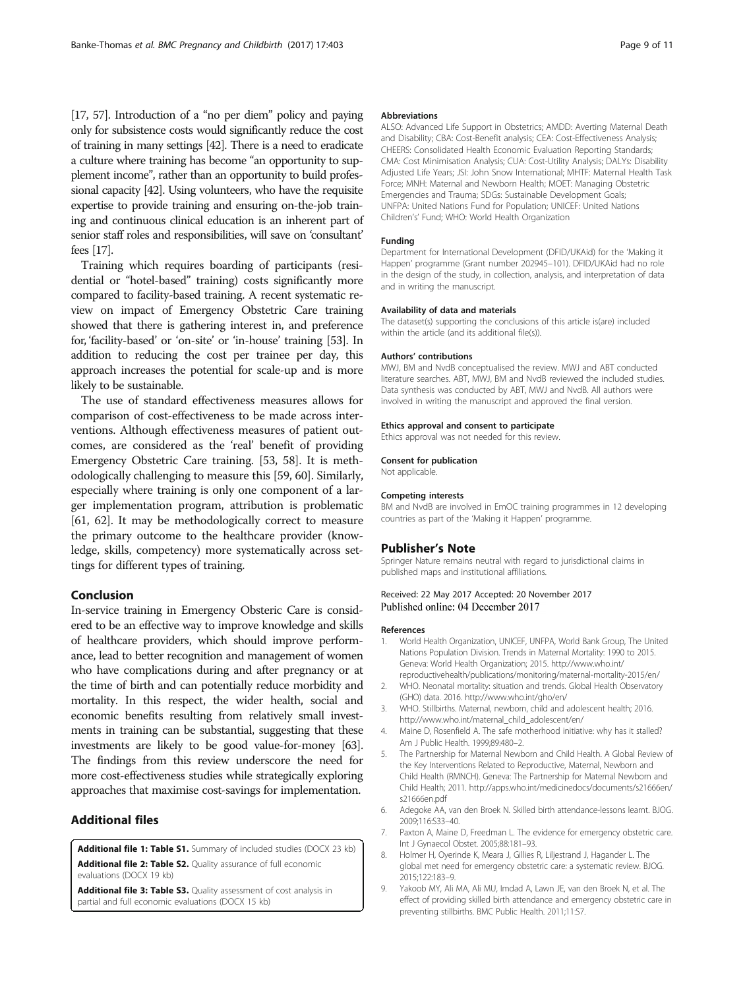<span id="page-8-0"></span>[[17,](#page-9-0) [57\]](#page-10-0). Introduction of a "no per diem" policy and paying only for subsistence costs would significantly reduce the cost of training in many settings [\[42\]](#page-9-0). There is a need to eradicate a culture where training has become "an opportunity to supplement income", rather than an opportunity to build professional capacity [\[42](#page-9-0)]. Using volunteers, who have the requisite expertise to provide training and ensuring on-the-job training and continuous clinical education is an inherent part of senior staff roles and responsibilities, will save on 'consultant' fees [\[17\]](#page-9-0).

Training which requires boarding of participants (residential or "hotel-based" training) costs significantly more compared to facility-based training. A recent systematic review on impact of Emergency Obstetric Care training showed that there is gathering interest in, and preference for, 'facility-based' or 'on-site' or 'in-house' training [\[53\]](#page-9-0). In addition to reducing the cost per trainee per day, this approach increases the potential for scale-up and is more likely to be sustainable.

The use of standard effectiveness measures allows for comparison of cost-effectiveness to be made across interventions. Although effectiveness measures of patient outcomes, are considered as the 'real' benefit of providing Emergency Obstetric Care training. [\[53,](#page-9-0) [58\]](#page-10-0). It is methodologically challenging to measure this [[59](#page-10-0), [60\]](#page-10-0). Similarly, especially where training is only one component of a larger implementation program, attribution is problematic [[61](#page-10-0), [62](#page-10-0)]. It may be methodologically correct to measure the primary outcome to the healthcare provider (knowledge, skills, competency) more systematically across settings for different types of training.

# Conclusion

In-service training in Emergency Obsteric Care is considered to be an effective way to improve knowledge and skills of healthcare providers, which should improve performance, lead to better recognition and management of women who have complications during and after pregnancy or at the time of birth and can potentially reduce morbidity and mortality. In this respect, the wider health, social and economic benefits resulting from relatively small investments in training can be substantial, suggesting that these investments are likely to be good value-for-money [\[63](#page-10-0)]. The findings from this review underscore the need for more cost-effectiveness studies while strategically exploring approaches that maximise cost-savings for implementation.

#### Additional files

[Additional file 1: Table S1.](dx.doi.org/10.1186/s12884-017-1586-z) Summary of included studies (DOCX 23 kb) [Additional file 2: Table S2.](dx.doi.org/10.1186/s12884-017-1586-z) Quality assurance of full economic evaluations (DOCX 19 kb)

[Additional file 3: Table S3.](dx.doi.org/10.1186/s12884-017-1586-z) Quality assessment of cost analysis in partial and full economic evaluations (DOCX 15 kb)

#### Abbreviations

ALSO: Advanced Life Support in Obstetrics; AMDD: Averting Maternal Death and Disability; CBA: Cost-Benefit analysis; CEA: Cost-Effectiveness Analysis; CHEERS: Consolidated Health Economic Evaluation Reporting Standards; CMA: Cost Minimisation Analysis; CUA: Cost-Utility Analysis; DALYs: Disability Adjusted Life Years; JSI: John Snow International; MHTF: Maternal Health Task Force; MNH: Maternal and Newborn Health; MOET: Managing Obstetric Emergencies and Trauma; SDGs: Sustainable Development Goals; UNFPA: United Nations Fund for Population; UNICEF: United Nations Children's' Fund; WHO: World Health Organization

#### Funding

Department for International Development (DFID/UKAid) for the 'Making it Happen' programme (Grant number 202945–101). DFID/UKAid had no role in the design of the study, in collection, analysis, and interpretation of data and in writing the manuscript.

#### Availability of data and materials

The dataset(s) supporting the conclusions of this article is(are) included within the article (and its additional file(s)).

#### Authors' contributions

MWJ, BM and NvdB conceptualised the review. MWJ and ABT conducted literature searches. ABT, MWJ, BM and NvdB reviewed the included studies. Data synthesis was conducted by ABT, MWJ and NvdB. All authors were involved in writing the manuscript and approved the final version.

#### Ethics approval and consent to participate

Ethics approval was not needed for this review.

#### Consent for publication

Not applicable.

#### Competing interests

BM and NvdB are involved in EmOC training programmes in 12 developing countries as part of the 'Making it Happen' programme.

#### Publisher's Note

Springer Nature remains neutral with regard to jurisdictional claims in published maps and institutional affiliations.

#### Received: 22 May 2017 Accepted: 20 November 2017 Published online: 04 December 2017

#### References

- 1. World Health Organization, UNICEF, UNFPA, World Bank Group, The United Nations Population Division. Trends in Maternal Mortality: 1990 to 2015. Geneva: World Health Organization; 2015. [http://www.who.int/](http://www.who.int/reproductivehealth/publications/monitoring/maternal-mortality-2015/en/) [reproductivehealth/publications/monitoring/maternal-mortality-2015/en/](http://www.who.int/reproductivehealth/publications/monitoring/maternal-mortality-2015/en/)
- 2. WHO. Neonatal mortality: situation and trends. Global Health Observatory (GHO) data. 2016.<http://www.who.int/gho/en/>
- 3. WHO. Stillbirths. Maternal, newborn, child and adolescent health; 2016. [http://www.who.int/maternal\\_child\\_adolescent/en/](http://www.who.int/maternal_child_adolescent/en/)
- 4. Maine D, Rosenfield A. The safe motherhood initiative: why has it stalled? Am J Public Health. 1999;89:480–2.
- 5. The Partnership for Maternal Newborn and Child Health. A Global Review of the Key Interventions Related to Reproductive, Maternal, Newborn and Child Health (RMNCH). Geneva: The Partnership for Maternal Newborn and Child Health; 2011. [http://apps.who.int/medicinedocs/documents/s21666en/](http://apps.who.int/medicinedocs/documents/s21666en/s21666en.pdf) [s21666en.pdf](http://apps.who.int/medicinedocs/documents/s21666en/s21666en.pdf)
- 6. Adegoke AA, van den Broek N. Skilled birth attendance-lessons learnt. BJOG. 2009;116:S33–40.
- 7. Paxton A, Maine D, Freedman L. The evidence for emergency obstetric care. Int J Gynaecol Obstet. 2005;88:181–93.
- 8. Holmer H, Oyerinde K, Meara J, Gillies R, Liljestrand J, Hagander L. The global met need for emergency obstetric care: a systematic review. BJOG. 2015;122:183–9.
- 9. Yakoob MY, Ali MA, Ali MU, Imdad A, Lawn JE, van den Broek N, et al. The effect of providing skilled birth attendance and emergency obstetric care in preventing stillbirths. BMC Public Health. 2011;11:S7.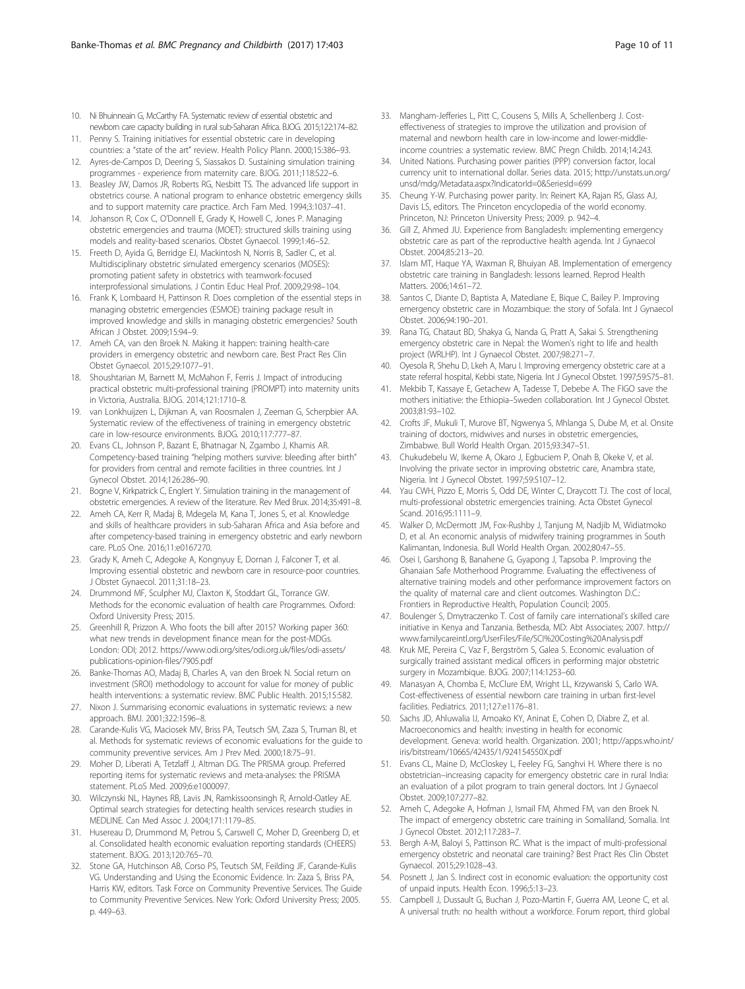- <span id="page-9-0"></span>10. Ni Bhuinneain G, McCarthy FA. Systematic review of essential obstetric and newborn care capacity building in rural sub-Saharan Africa. BJOG. 2015;122:174–82.
- 11. Penny S. Training initiatives for essential obstetric care in developing countries: a "state of the art" review. Health Policy Plann. 2000;15:386–93.
- 12. Ayres-de-Campos D, Deering S, Siassakos D. Sustaining simulation training programmes - experience from maternity care. BJOG. 2011;118:S22–6.
- 13. Beasley JW, Damos JR, Roberts RG, Nesbitt TS. The advanced life support in obstetrics course. A national program to enhance obstetric emergency skills and to support maternity care practice. Arch Fam Med. 1994;3:1037–41.
- 14. Johanson R, Cox C, O'Donnell E, Grady K, Howell C, Jones P. Managing obstetric emergencies and trauma (MOET): structured skills training using models and reality-based scenarios. Obstet Gynaecol. 1999;1:46–52.
- 15. Freeth D, Ayida G, Berridge EJ, Mackintosh N, Norris B, Sadler C, et al. Multidisciplinary obstetric simulated emergency scenarios (MOSES): promoting patient safety in obstetrics with teamwork-focused interprofessional simulations. J Contin Educ Heal Prof. 2009;29:98–104.
- 16. Frank K, Lombaard H, Pattinson R. Does completion of the essential steps in managing obstetric emergencies (ESMOE) training package result in improved knowledge and skills in managing obstetric emergencies? South African J Obstet. 2009;15:94–9.
- 17. Ameh CA, van den Broek N. Making it happen: training health-care providers in emergency obstetric and newborn care. Best Pract Res Clin Obstet Gynaecol. 2015;29:1077–91.
- 18. Shoushtarian M, Barnett M, McMahon F, Ferris J. Impact of introducing practical obstetric multi-professional training (PROMPT) into maternity units in Victoria, Australia. BJOG. 2014;121:1710–8.
- 19. van Lonkhuijzen L, Dijkman A, van Roosmalen J, Zeeman G, Scherpbier AA. Systematic review of the effectiveness of training in emergency obstetric care in low-resource environments. BJOG. 2010;117:777–87.
- 20. Evans CL, Johnson P, Bazant E, Bhatnagar N, Zgambo J, Khamis AR. Competency-based training "helping mothers survive: bleeding after birth" for providers from central and remote facilities in three countries. Int J Gynecol Obstet. 2014;126:286–90.
- 21. Bogne V, Kirkpatrick C, Englert Y. Simulation training in the management of obstetric emergencies. A review of the literature. Rev Med Brux. 2014;35:491–8.
- 22. Ameh CA, Kerr R, Madaj B, Mdegela M, Kana T, Jones S, et al. Knowledge and skills of healthcare providers in sub-Saharan Africa and Asia before and after competency-based training in emergency obstetric and early newborn care. PLoS One. 2016;11:e0167270.
- 23. Grady K, Ameh C, Adegoke A, Kongnyuy E, Dornan J, Falconer T, et al. Improving essential obstetric and newborn care in resource-poor countries. J Obstet Gynaecol. 2011;31:18–23.
- 24. Drummond MF, Sculpher MJ, Claxton K, Stoddart GL, Torrance GW. Methods for the economic evaluation of health care Programmes. Oxford: Oxford University Press; 2015.
- 25. Greenhill R, Prizzon A. Who foots the bill after 2015? Working paper 360: what new trends in development finance mean for the post-MDGs. London: ODI; 2012. [https://www.odi.org/sites/odi.org.uk/files/odi-assets/](https://www.odi.org/sites/odi.org.uk/files/odi-assets/publications-opinion-files/7905.pdf) [publications-opinion-files/7905.pdf](https://www.odi.org/sites/odi.org.uk/files/odi-assets/publications-opinion-files/7905.pdf)
- 26. Banke-Thomas AO, Madaj B, Charles A, van den Broek N. Social return on investment (SROI) methodology to account for value for money of public health interventions: a systematic review. BMC Public Health. 2015;15:582.
- 27. Nixon J. Summarising economic evaluations in systematic reviews: a new approach. BMJ. 2001;322:1596–8.
- 28. Carande-Kulis VG, Maciosek MV, Briss PA, Teutsch SM, Zaza S, Truman BI, et al. Methods for systematic reviews of economic evaluations for the guide to community preventive services. Am J Prev Med. 2000;18:75–91.
- 29. Moher D, Liberati A, Tetzlaff J, Altman DG. The PRISMA group. Preferred reporting items for systematic reviews and meta-analyses: the PRISMA statement. PLoS Med. 2009;6:e1000097.
- 30. Wilczynski NL, Haynes RB, Lavis JN, Ramkissoonsingh R, Arnold-Oatley AE. Optimal search strategies for detecting health services research studies in MEDLINE. Can Med Assoc J. 2004;171:1179–85.
- 31. Husereau D, Drummond M, Petrou S, Carswell C, Moher D, Greenberg D, et al. Consolidated health economic evaluation reporting standards (CHEERS) statement. BJOG. 2013;120:765–70.
- 32. Stone GA, Hutchinson AB, Corso PS, Teutsch SM, Feilding JF, Carande-Kulis VG. Understanding and Using the Economic Evidence. In: Zaza S, Briss PA, Harris KW, editors. Task Force on Community Preventive Services. The Guide to Community Preventive Services. New York: Oxford University Press; 2005. p. 449–63.
- 33. Mangham-Jefferies L, Pitt C, Cousens S, Mills A, Schellenberg J. Costeffectiveness of strategies to improve the utilization and provision of maternal and newborn health care in low-income and lower-middleincome countries: a systematic review. BMC Pregn Childb. 2014;14:243.
- 34. United Nations. Purchasing power parities (PPP) conversion factor, local currency unit to international dollar. Series data. 2015; [http://unstats.un.org/](http://unstats.un.org/unsd/mdg/Metadata.aspx?IndicatorId=0&SeriesId=699) [unsd/mdg/Metadata.aspx?IndicatorId=0&SeriesId=699](http://unstats.un.org/unsd/mdg/Metadata.aspx?IndicatorId=0&SeriesId=699)
- 35. Cheung Y-W. Purchasing power parity. In: Reinert KA, Rajan RS, Glass AJ, Davis LS, editors. The Princeton encyclopedia of the world economy. Princeton, NJ: Princeton University Press; 2009. p. 942–4.
- 36. Gill Z, Ahmed JU. Experience from Bangladesh: implementing emergency obstetric care as part of the reproductive health agenda. Int J Gynaecol Obstet. 2004;85:213–20.
- 37. Islam MT, Haque YA, Waxman R, Bhuiyan AB. Implementation of emergency obstetric care training in Bangladesh: lessons learned. Reprod Health Matters. 2006;14:61–72.
- 38. Santos C, Diante D, Baptista A, Matediane E, Bique C, Bailey P. Improving emergency obstetric care in Mozambique: the story of Sofala. Int J Gynaecol Obstet. 2006;94:190–201.
- 39. Rana TG, Chataut BD, Shakya G, Nanda G, Pratt A, Sakai S. Strengthening emergency obstetric care in Nepal: the Women's right to life and health project (WRLHP). Int J Gynaecol Obstet. 2007;98:271–7.
- 40. Oyesola R, Shehu D, Lkeh A, Maru I. Improving emergency obstetric care at a state referral hospital, Kebbi state, Nigeria. Int J Gynecol Obstet. 1997;59:S75–81.
- 41. Mekbib T, Kassaye E, Getachew A, Tadesse T, Debebe A. The FIGO save the mothers initiative: the Ethiopia–Sweden collaboration. Int J Gynecol Obstet. 2003;81:93–102.
- 42. Crofts JF, Mukuli T, Murove BT, Ngwenya S, Mhlanga S, Dube M, et al. Onsite training of doctors, midwives and nurses in obstetric emergencies, Zimbabwe. Bull World Health Organ. 2015;93:347–51.
- 43. Chukudebelu W, Ikeme A, Okaro J, Egbuciem P, Onah B, Okeke V, et al. Involving the private sector in improving obstetric care, Anambra state, Nigeria. Int J Gynecol Obstet. 1997;59:S107–12.
- 44. Yau CWH, Pizzo E, Morris S, Odd DE, Winter C, Draycott TJ. The cost of local, multi-professional obstetric emergencies training. Acta Obstet Gynecol Scand. 2016;95:1111–9.
- 45. Walker D, McDermott JM, Fox-Rushby J, Tanjung M, Nadjib M, Widiatmoko D, et al. An economic analysis of midwifery training programmes in South Kalimantan, Indonesia. Bull World Health Organ. 2002;80:47–55.
- 46. Osei I, Garshong B, Banahene G, Gyapong J, Tapsoba P. Improving the Ghanaian Safe Motherhood Programme. Evaluating the effectiveness of alternative training models and other performance improvement factors on the quality of maternal care and client outcomes. Washington D.C.: Frontiers in Reproductive Health, Population Council; 2005.
- 47. Boulenger S, Dmytraczenko T. Cost of family care international's skilled care initiative in Kenya and Tanzania. Bethesda, MD: Abt Associates; 2007. [http://](http://www.familycareintl.org/UserFiles/File/SCI%20Costing%20Analysis.pdf) [www.familycareintl.org/UserFiles/File/SCI%20Costing%20Analysis.pdf](http://www.familycareintl.org/UserFiles/File/SCI%20Costing%20Analysis.pdf)
- 48. Kruk ME, Pereira C, Vaz F, Bergström S, Galea S. Economic evaluation of surgically trained assistant medical officers in performing major obstetric surgery in Mozambique. BJOG. 2007;114:1253–60.
- 49. Manasyan A, Chomba E, McClure EM, Wright LL, Krzywanski S, Carlo WA. Cost-effectiveness of essential newborn care training in urban first-level facilities. Pediatrics. 2011;127:e1176–81.
- 50. Sachs JD, Ahluwalia IJ, Amoako KY, Aninat E, Cohen D, Diabre Z, et al. Macroeconomics and health: investing in health for economic development. Geneva: world health. Organization. 2001; [http://apps.who.int/](http://apps.who.int/iris/bitstream/10665/42435/1/924154550X.pdf) [iris/bitstream/10665/42435/1/924154550X.pdf](http://apps.who.int/iris/bitstream/10665/42435/1/924154550X.pdf)
- 51. Evans CL, Maine D, McCloskey L, Feeley FG, Sanghvi H. Where there is no obstetrician–increasing capacity for emergency obstetric care in rural India: an evaluation of a pilot program to train general doctors. Int J Gynaecol Obstet. 2009;107:277–82.
- 52. Ameh C, Adegoke A, Hofman J, Ismail FM, Ahmed FM, van den Broek N. The impact of emergency obstetric care training in Somaliland, Somalia. Int J Gynecol Obstet. 2012;117:283–7.
- 53. Bergh A-M, Baloyi S, Pattinson RC. What is the impact of multi-professional emergency obstetric and neonatal care training? Best Pract Res Clin Obstet Gynaecol. 2015;29:1028–43.
- 54. Posnett J, Jan S. Indirect cost in economic evaluation: the opportunity cost of unpaid inputs. Health Econ. 1996;5:13–23.
- 55. Campbell J, Dussault G, Buchan J, Pozo-Martin F, Guerra AM, Leone C, et al. A universal truth: no health without a workforce. Forum report, third global